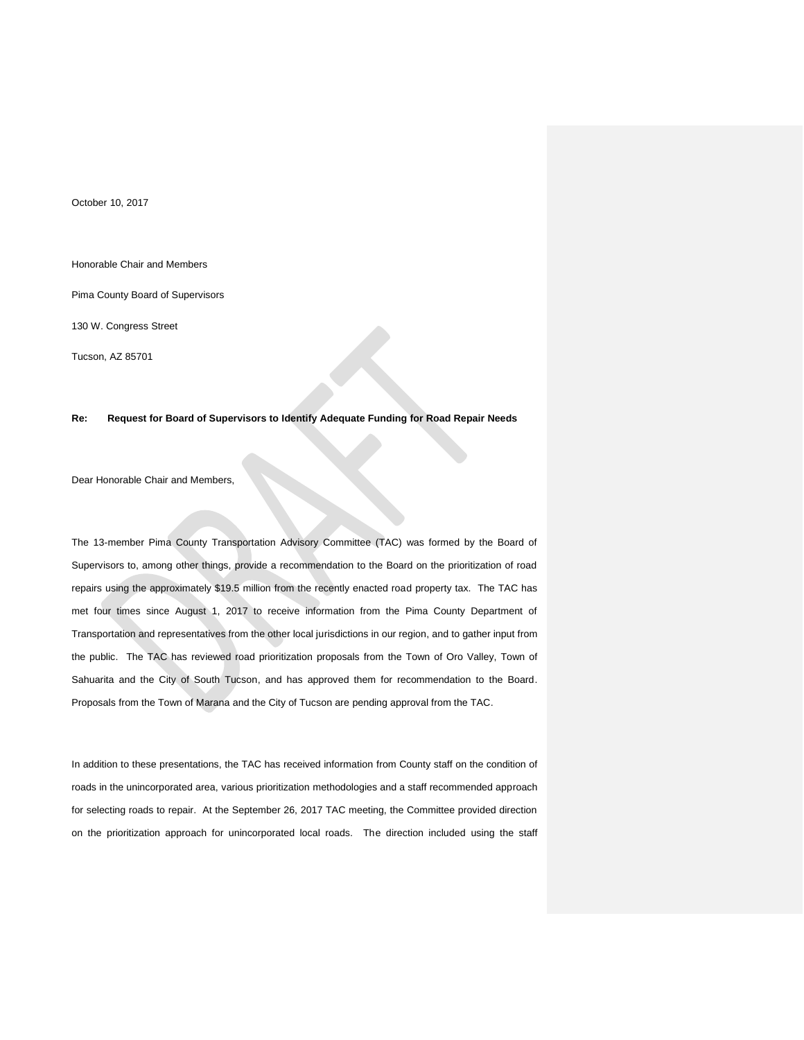October 10, 2017

Honorable Chair and Members

Pima County Board of Supervisors

130 W. Congress Street

Tucson, AZ 85701

## **Re: Request for Board of Supervisors to Identify Adequate Funding for Road Repair Needs**

Dear Honorable Chair and Members,

The 13-member Pima County Transportation Advisory Committee (TAC) was formed by the Board of Supervisors to, among other things, provide a recommendation to the Board on the prioritization of road repairs using the approximately \$19.5 million from the recently enacted road property tax. The TAC has met four times since August 1, 2017 to receive information from the Pima County Department of Transportation and representatives from the other local jurisdictions in our region, and to gather input from the public. The TAC has reviewed road prioritization proposals from the Town of Oro Valley, Town of Sahuarita and the City of South Tucson, and has approved them for recommendation to the Board. Proposals from the Town of Marana and the City of Tucson are pending approval from the TAC.

In addition to these presentations, the TAC has received information from County staff on the condition of roads in the unincorporated area, various prioritization methodologies and a staff recommended approach for selecting roads to repair. At the September 26, 2017 TAC meeting, the Committee provided direction on the prioritization approach for unincorporated local roads. The direction included using the staff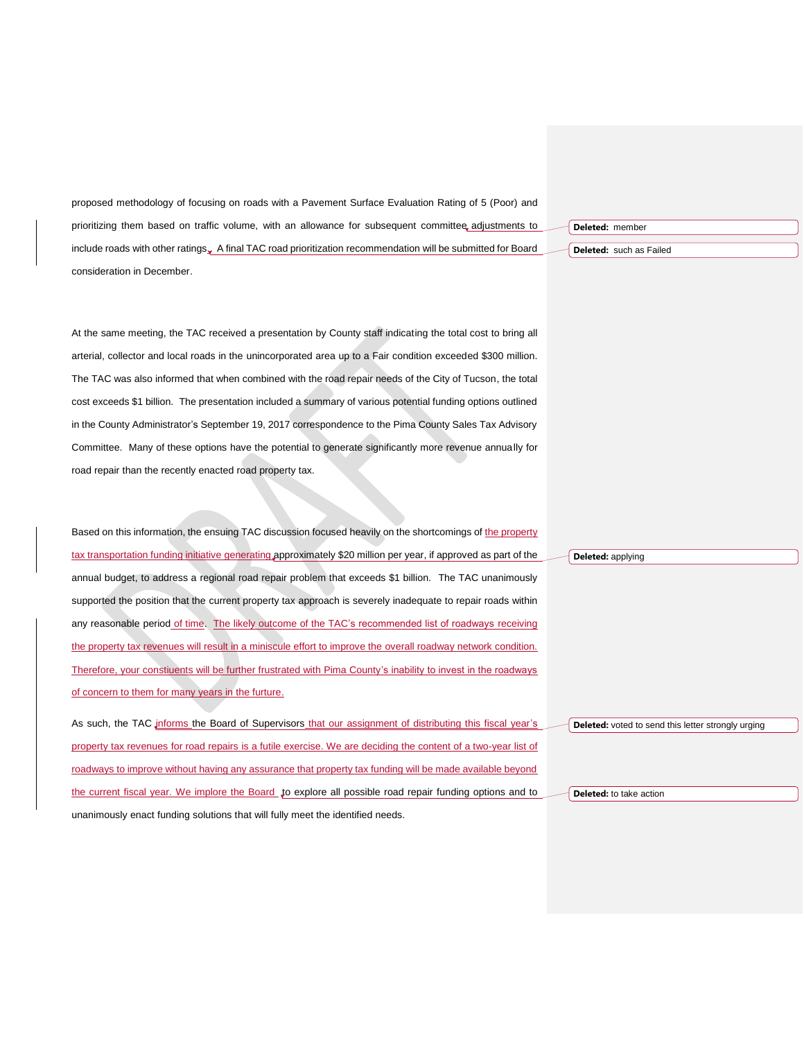proposed methodology of focusing on roads with a Pavement Surface Evaluation Rating of 5 (Poor) and prioritizing them based on traffic volume, with an allowance for subsequent committee, adjustments to include roads with other ratings... A final TAC road prioritization recommendation will be submitted for Board consideration in December.

At the same meeting, the TAC received a presentation by County staff indicating the total cost to bring all arterial, collector and local roads in the unincorporated area up to a Fair condition exceeded \$300 million. The TAC was also informed that when combined with the road repair needs of the City of Tucson, the total cost exceeds \$1 billion. The presentation included a summary of various potential funding options outlined in the County Administrator's September 19, 2017 correspondence to the Pima County Sales Tax Advisory Committee. Many of these options have the potential to generate significantly more revenue annually for road repair than the recently enacted road property tax.

Based on this information, the ensuing TAC discussion focused heavily on the shortcomings of the property tax transportation funding initiative generating approximately \$20 million per year, if approved as part of the annual budget, to address a regional road repair problem that exceeds \$1 billion. The TAC unanimously supported the position that the current property tax approach is severely inadequate to repair roads within any reasonable period of time. The likely outcome of the TAC's recommended list of roadways receiving the property tax revenues will result in a miniscule effort to improve the overall roadway network condition. Therefore, your constiuents will be further frustrated with Pima County's inability to invest in the roadways of concern to them for many years in the furture.

As such, the TAC informs the Board of Supervisors that our assignment of distributing this fiscal year's property tax revenues for road repairs is a futile exercise. We are deciding the content of a two-year list of roadways to improve without having any assurance that property tax funding will be made available beyond the current fiscal year. We implore the Board to explore all possible road repair funding options and to unanimously enact funding solutions that will fully meet the identified needs.

**Deleted:** member

**Deleted:** such as Failed

**Deleted:** applying

**Deleted:** voted to send this letter strongly urging

**Deleted:** to take action